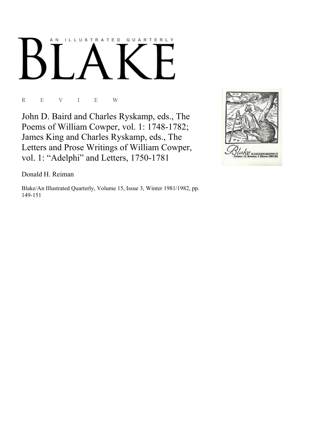# AN ILLUSTRATED QUARTERLY

R E V I E W

John D. Baird and Charles Ryskamp, eds., The Poems of William Cowper, vol. 1: 1748-1782; James King and Charles Ryskamp, eds., The Letters and Prose Writings of William Cowper, vol. 1: "Adelphi" and Letters, 1750-1781



Donald H. Reiman

Blake/An Illustrated Quarterly, Volume 15, Issue 3, Winter 1981/1982, pp. 149-151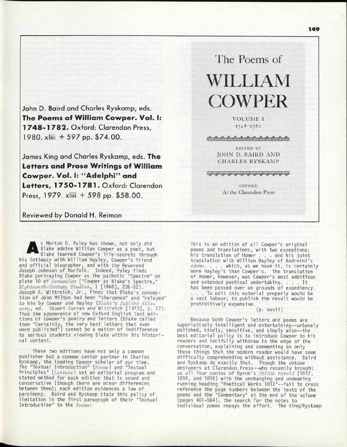John D. Baird and Charles Ryskamp, eds. The Poems of William Cowper. Vol. I: 1 748- 1 782 . Oxford: Clarendon Press, 1980. xliii + 597 pp. \$74.00.

James King and Charles Ryskamp, eds. The **Letters and Prose Writings of William** Cowper. Vol. I: "Adelphi" and Letters, 1750-1781. Oxford: Clarendon Press, 1979. xliii + 598 pp. \$58.00.

# Reviewed by Donald H. Reiman

A s Morton D. Paley has shown, not only did Blake admire William Cowper as a poet, but Blake learned Cowper's life-secrets through his intimacy with William Hayley, Cowper's friend" and official biographer, and with the Reverend Joseph Johnson of Norfolk. Indeed, Paley finds Blake portraying Cowper as the pathetic "Spectre" on plate 10 of *Jerusalem* ("Cowper as Blake's Spectre," *Eighteenth-Century Studies,* I [1968], 236-52). Joseph A. Wittreich, Jr. , finds that Blake's conception of John Milton had been "sharpened" and "relayed" to him by Cowper and Hayley *[Blake's Sublime Allegory,* ed. Stuart Curran and Wittreich [1973], D. 27). Thus the appearance of new Oxford English Text editions of Cowper's poetry and letters (Blake called them "Certainly, the yery best letters that ever were published") cannot be a matter of indifference to serious students viewing Blake within his historical context.

These two editions have not only a common publisher but a common senior partner in Charles Ryskamp, the leading Cowper scholar of our time. The "Textual Introduction" *{Poems)* and "Textual Principles" *{Letters)* set an editorial program and stated method for each edition that is sound and conservative (though there are minor differences between them); each edition evidences a law of parsimony. Baird and Ryskamp state this policy of limitation in the first paragraph of their "Textual Introduction" to the *Poems:* 

# The Poems of WILLIAM COWPER

VOLUME I 1748-1782

෯෦෩෯෧෯෧෯෧෯෧෯෧෯෧෯෦෩෯෧෯෧෯෧෯

EDITED *BY*  JOHN D. BAIRD AND CHARLES RYSKAMP

<u>අසංඝය අභාධිත අභාධිත අභාධිත අභාධිත අභාධිත අභාධිත අභා</u>

OXFORD At the Clarendon Press

This is an edition of all Cowper's original poems and translations, with two exceptions: his translation of Homer . . . and his joint translation with William Hayley of Andreini's *Adamo.* . . . which, as we have it , is certainly more Hayley's than Cowper's. The translation of Homer, however, was Cowper's most ambitious and extended poetical undertaking. . . . It has been passed over on grounds of expediency. . . . To edit this material properly would be a vast labour; to publish the result would be prohibitively expensive.

## (p. xxvii)

Because both Cowper's letters and poems are superlatively intelligent and entertaining--urbanely polished, kindly, sensitive, and simply wise--the best editorial policy is to introduce Cowper to his readers and tactfully withdraw to the edge of the conversation, explaining and commenting on only those things that the modern reader would have some difficulty comprehending without assistance. Baird and Ryskamp do exactly that. Though the obtuse designers at Clarendon Press--who recently brouqht us all four cantos of Byron's *Childe Harold* (1812, 1816, and 1818) with the unchanging and unmeaning running heading "Poetical Works 1812"--fail to cross reference the page numbers between the texts of the poems and the "Commentary" at the end of the volume (pages 461-564), the search for the notes to individual poems repays the effort. The King/Ryskamp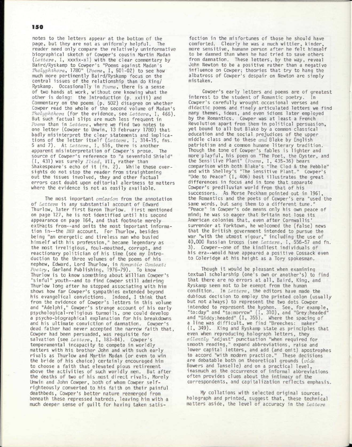### ISO

notes to the letters appear at the bottom of the page, but they are not as uniformly helpful. The reader need only compare the relatively uninformative biographical sketch of Cowper's cousin Martin Madan (Letters, I, xxxix-x1) with the clear commentary by Baird/Ryskamp to Cowper's "Poems against Madan's *Thelyphthora,* 1780" *(Poems,* I , 501-02) to see how much more pertinently Baird/Ryskamp focus on the central issues of the relationship than do King/ Ryskamp. Occasionally in *Poems,* there is a sense of two hands at work, without one knowing what the other is doing: the Introduction (p. xxiii) and Commentary on the poems (p. 502) disagree on whether Cowper read the whole of the second volume of Madan's *Thelyphthora* (for the evidence, see Letters, I, 466). But such factual slips are much less frequent in *Poems* than in *Letters,* where we find two notes to one letter (Cowper to Unwin, 13 February 1780) that badly misinterpret the clear statements and implications of the letter itself (Letters, I, 314-15, fns. 5 and 7). At *Letters*, I, 516, there is another apparent misinterpretation of Cowper's prose. The source of Cowper's reference to "a sevenfold Shield" ( I , 431) was surely *Iliad,* VII , rather than Shakespeare's echo of it (fn. 2). While these oversights do not stop the reader from straightening out the issues involved, they and other factual errors cast doubt upon editorial alertness to matters where the evidence is not as easily available.

The most important *omission* from the annotation of *Letters* is any substantial account of Edward Thurlow, later first Baron Thurlow. First mentioned on page 127, he is not identified until his second appearance on page 164, and that footnote merely extracts from--and omits the most important information in--the *DNB* account. For Thurlow, besides being "an energetic and tireless man who busied himself with his profession," became legendary as the most irreligious , foul-mouthed, corrupt, and reactionary politician of his time (see my Introduction to the three volumes of the poems of his nephew, Edward, Lord Thurlow, in *Romantic Context: Poetry,* Garland Publishing, 1976-79). To know Thurlow is to know something about William Cowper's "sinful" youth--and to find Cowper still admiring Thurlow long after he stopped associating with him shows how far Cowper's sympathies extended beyond his evangelical convictions. Indeed, I think that from the evidence of Cowper's letters in this volume and "Adelphi," Cowper's strange account of his early psychological-religious turmoils, one could develop a psycho-biographical explanation for his breakdowns and his ultimate conviction of damnation. Cowper's dead father had never accepted the narrow faith that, Cowper had been persuaded, was requisite for salvation (see *Letters*, I, 183-84). Cowper's temperamental incapacity to compete in worldly matters with his brother John and with such early rivals as Thurlow and Martin Madan (or even to win the bride of his choice) certainly encouraged him to choose a faith that elevated pious retirement above the activities of such worldly men. But after the deaths of two of his most direct rivals , Morely Unwin and John Cowper, both of whom Cowper selfrighteously converted to his faith on their painful deathbeds, Cowper's better nature reemerged from beneath these repressed hatreds, leaving him with a much deeper sense of guilt for having taken satis-

faction in the misfortunes of those he should have comforted. Clearly he was a much wittier, kinder, more sensitive, humane person after he felt himself to be damned than when he had tried to save others from damnation. These letters, by the way, reveal John Newton to be a positive rather than a negative influence on Cowper; theories that try to hang the albatross of Cowper's despair on Newton are simply mistaken.

Cowper's early letters and poems are of greatest interest to the student of Romantic poetry. In Cowper's carefully wrought occasional verses and didactic poems and finely articulated letters we find many themes, ideas, and even idioms later employed by the Romantics. Cowper was at least a French Revolution apart from them in political persuasion, yet bound to all but Blake by a common classical education and the social prejudices of the upper middle class and to these *and* Blake by English patriotism and a common humane literary tradition. Though the tone of Cowper's fables is lighter and more playful , his poem on "The Poet, the Oyster, and the Sensitive Plant" *(Poems,* I , 435-36) bears comparison with both Blake's "The Clod & the Pebble" and with Shelley's "The Sensitive Plant." Cowper's "Ode to Peace" (I, 406) best illustrates the great differences in focus and in tone that separate Cowper's prediluvian world from that of his successors. As Morse Peckham pointed out in 1961, the Romantics and the poets of Cowper's era "used the same words, but sang them to a different tune." "Peace" in Cowper's ode means only his own peace of mind; he was so eager that Britain not lose its American colonies that, even after Cornwallis surrender at Yorktown, he welcomed the (false) news that the British government intended to pursue the war "with the utmost vigour," including the use of 40,000 Russian troops (see *Letters,* I , 556-57 and fn. 3). Cowper--one of the kindliest individuals of his era--would have appeared a positive Cossack even to Coleridge at his height as a Tory spokesman.

Though it would be pleasant when examining textual scholarship (one's own or another's) to find that there are no errors at all, Baird, King, and Ryskamp seem not to be exempt from the human condition. In *Letters,* the editors have made the dubious decision to employ the printed colon (usually but not always) to represent the two dots Cowper intended to represent the hyphen. See, for example, "to:day" and "to:morrow" (I, 310), and "Grey:headed" and "Giddy:headed" (I, 355). Where the spacing of a line was difficult, we find "Breeches: maker" (I, 349). King and Ryskamp state as principles that even when reproducing holograph letters, they *silently* "adjust" punctuation "when required for smooth reading," expand abbreviations, raise and lower capital letters , and add (and omit) apostrophes to accord "with modern practice." These decisions are debatable both on theoretical grounds *(vide*  Bowers and Tanselle) and on a practical level , inasmuch as the occurrence of informal abbreviations often provides clues about the intimacy of the correspondents, and capitalization reflects emphasis.

My collations with selected original sources, holograph and printed, suggest that, these technical matters aside, the level of accuracy in the *Letters*